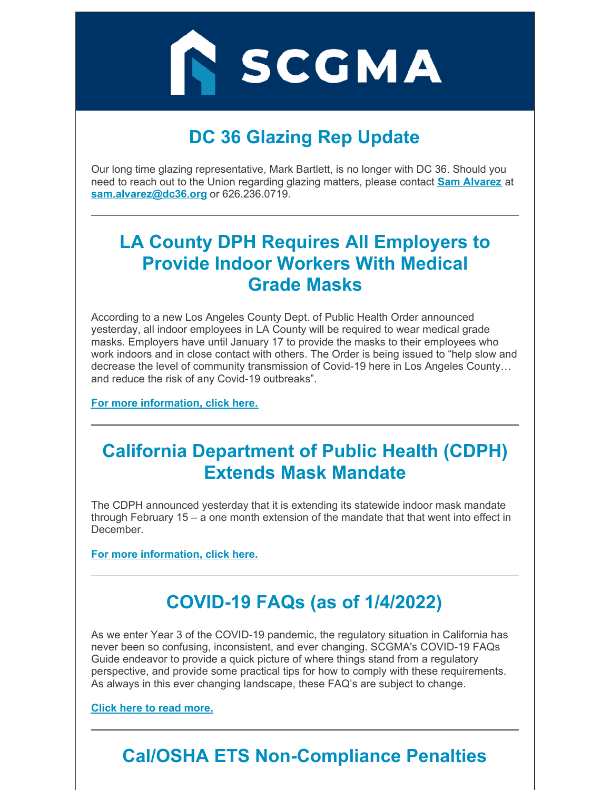IN SCGMA

# **DC 36 Glazing Rep Update**

Our long time glazing representative, Mark Bartlett, is no longer with DC 36. Should you need to reach out to the Union regarding glazing matters, please contact **Sam [Alvarez](mailto:sam.alvarez@dc36.org)** at **[sam.alvarez@dc36.org](mailto:sam.alvarez@dc36.org)** or 626.236.0719.

#### **LA County DPH Requires All Employers to Provide Indoor Workers With Medical Grade Masks**

According to a new Los Angeles County Dept. of Public Health Order announced yesterday, all indoor employees in LA County will be required to wear medical grade masks. Employers have until January 17 to provide the masks to their employees who work indoors and in close contact with others. The Order is being issued to "help slow and decrease the level of community transmission of Covid-19 here in Los Angeles County… and reduce the risk of any Covid-19 outbreaks".

**For more [information,](https://www.scgma.com/la-county-dph-mask-mandate/) click here.**

### **California Department of Public Health (CDPH) Extends Mask Mandate**

The CDPH announced yesterday that it is extending its statewide indoor mask mandate through February 15 – a one month extension of the mandate that that went into effect in December.

**For more [information,](https://www.scgma.com/new-california-statewide-mask-mandate/) click here.**

# **COVID-19 FAQs (as of 1/4/2022)**

As we enter Year 3 of the COVID-19 pandemic, the regulatory situation in California has never been so confusing, inconsistent, and ever changing. SCGMA's COVID-19 FAQs Guide endeavor to provide a quick picture of where things stand from a regulatory perspective, and provide some practical tips for how to comply with these requirements. As always in this ever changing landscape, these FAQ's are subject to change.

**Click here to read [more.](https://www.scgma.com/covid-19-faqs/)**

# **Cal/OSHA ETS Non-Compliance Penalties**